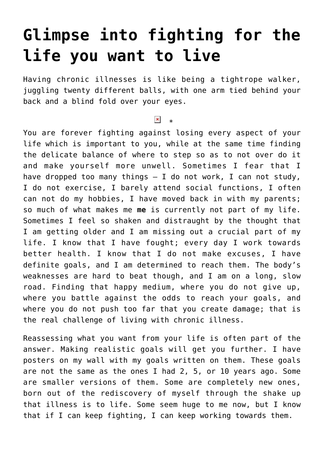## **[Glimpse into fighting for the](https://www.glimpsinggembles.com/2015/01/07/glimpse-into-fighting-for-the-life-you-want-to-live/) [life you want to live](https://www.glimpsinggembles.com/2015/01/07/glimpse-into-fighting-for-the-life-you-want-to-live/)**

Having chronic illnesses is like being a tightrope walker, juggling twenty different balls, with one arm tied behind your back and a blind fold over your eyes.

## $\overline{\phantom{a}}$  \*

You are forever fighting against losing every aspect of your life which is important to you, while at the same time finding the delicate balance of where to step so as to not over do it and make yourself more unwell. Sometimes I fear that I have dropped too many things – I do not work, I can not study, I do not exercise, I barely attend social functions, I often can not do my hobbies, I have moved back in with my parents; so much of what makes me **me** is currently not part of my life. Sometimes I feel so shaken and distraught by the thought that I am getting older and I am missing out a crucial part of my life. I know that I have fought; every day I work towards better health. I know that I do not make excuses, I have definite goals, and I am determined to reach them. The body's weaknesses are hard to beat though, and I am on a long, slow road. Finding that happy medium, where you do not give up, where you battle against the odds to reach your goals, and where you do not push too far that you create damage; that is the real challenge of living with chronic illness.

Reassessing what you want from your life is often part of the answer. Making realistic goals will get you further. I have posters on my wall with my goals written on them. These goals are not the same as the ones I had 2, 5, or 10 years ago. Some are smaller versions of them. Some are completely new ones, born out of the rediscovery of myself through the shake up that illness is to life. Some seem huge to me now, but I know that if I can keep fighting, I can keep working towards them.